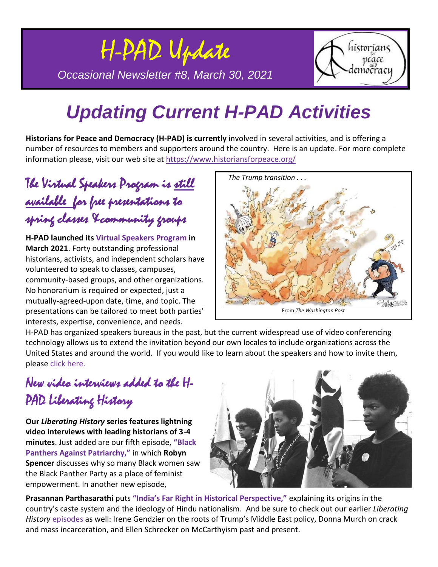

# *Updating Current H-PAD Activities*

**Historians for Peace and Democracy [\(H-PAD\)](https://www.historiansforpeace.org/) is currently** involved in several activities, and is offering a number of resources to members and supporters around the country. Here is an update. For more complete information please, visit our web site at <https://www.historiansforpeace.org/>

### The Virtual Speakers Program is <u>still</u> available for free presentations to spring classes &community groups

**H-PAD launched its [Virtual Speakers Program](https://www.historiansforpeace.org/speakers/) in March 2021**. Forty outstanding professional historians, activists, and independent scholars have volunteered to speak to classes, campuses, community-based groups, and other organizations. No honorarium is required or expected, just a mutually-agreed-upon date, time, and topic. The presentations can be tailored to meet both parties' interests, expertise, convenience, and needs.



H-PAD has organized speakers bureaus in the past, but the current widespread use of video conferencing technology allows us to extend the invitation beyond our own locales to include organizations across the United States and around the world. If you would like to learn about the speakers and how to invite them, please [click here.](https://www.historiansforpeace.org/speakers/)

#### New video interviews added to the H-PAD Liberating History

**Our** *Liberating History* **series features lightning video interviews with leading historians of 3-4 minutes**. Just added are our fifth episode, **["Black](https://youtu.be/lhvYIbKJifg)  [Panthers Against Patriarchy,"](https://youtu.be/lhvYIbKJifg)** in which **Robyn Spencer** discusses why so many Black women saw the Black Panther Party as a place of feminist empowerment. In another new episode,



**Prasannan Parthasarathi** puts **["India's Far Right in Historical Perspective,"](https://youtu.be/xdGHua6i7FI)** explaining its origins in the country's caste system and the ideology of Hindu nationalism. And be sure to check out our earlier *Liberating History* [episodes](https://www.historiansforpeace.org/videos/) as well: Irene Gendzier on the roots of Trump's Middle East policy, Donna Murch on crack and mass incarceration, and Ellen Schrecker on McCarthyism past and present.